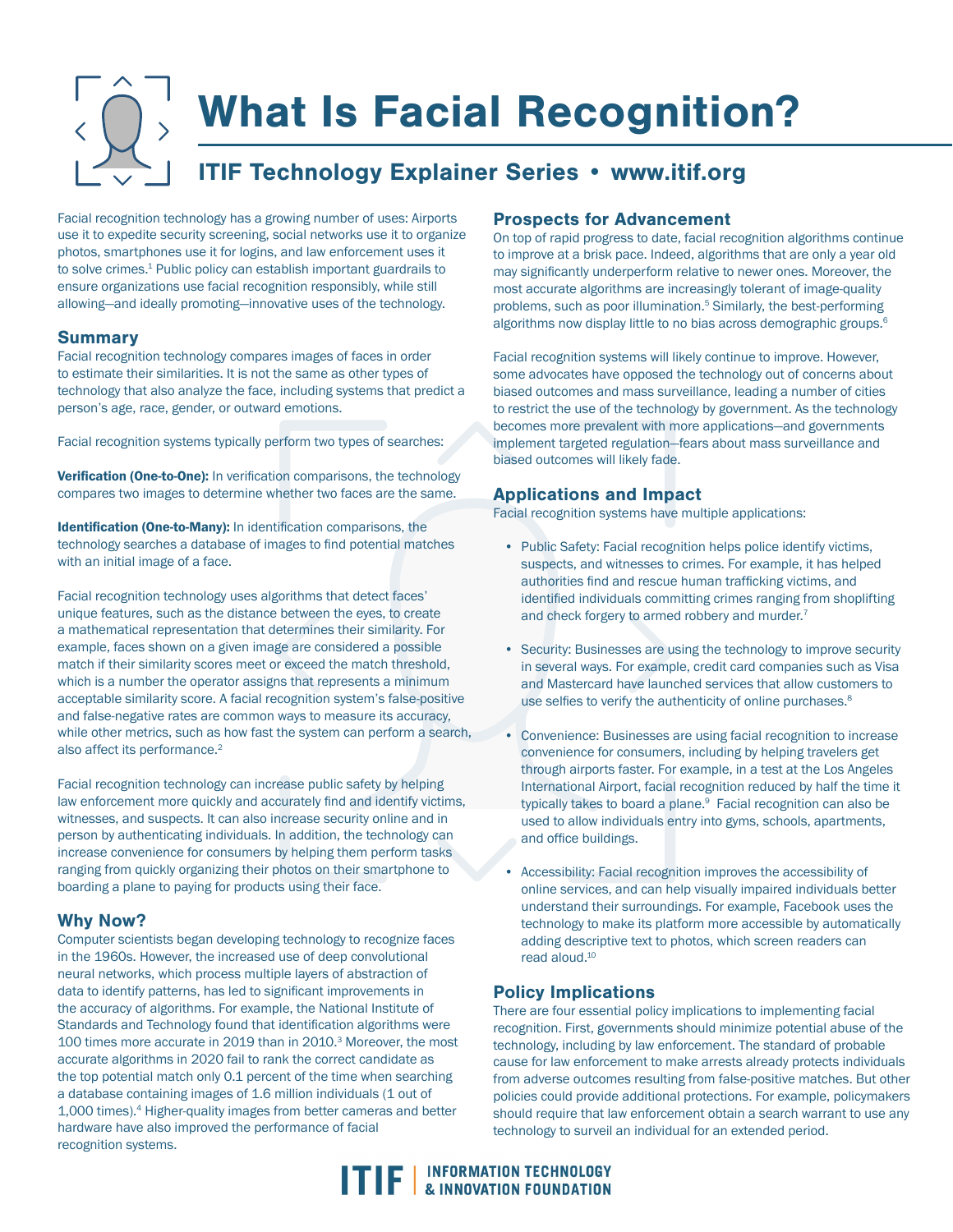# What Is Facial Recognition?

## ITIF Technology Explainer Series • www.itif.org

Facial recognition technology has a growing number of uses: Airports use it to expedite security screening, social networks use it to organize photos, smartphones use it for logins, and law enforcement uses it to solve crimes.<sup>1</sup> Public policy can establish important guardrails to ensure organizations use facial recognition responsibly, while still allowing—and ideally promoting—innovative uses of the technology.

#### **Summary**

Facial recognition technology compares images of faces in order to estimate their similarities. It is not the same as other types of technology that also analyze the face, including systems that predict a person's age, race, gender, or outward emotions.

Facial recognition systems typically perform two types of searches:

Verification (One-to-One): In verification comparisons, the technology compares two images to determine whether two faces are the same.

Identification (One-to-Many): In identification comparisons, the technology searches a database of images to find potential matches with an initial image of a face.

Facial recognition technology uses algorithms that detect faces' unique features, such as the distance between the eyes, to create a mathematical representation that determines their similarity. For example, faces shown on a given image are considered a possible match if their similarity scores meet or exceed the match threshold, which is a number the operator assigns that represents a minimum acceptable similarity score. A facial recognition system's false-positive and false-negative rates are common ways to measure its accuracy, while other metrics, such as how fast the system can perform a search, also affect its performance.<sup>2</sup>

Facial recognition technology can increase public safety by helping law enforcement more quickly and accurately find and identify victims, witnesses, and suspects. It can also increase security online and in person by authenticating individuals. In addition, the technology can increase convenience for consumers by helping them perform tasks ranging from quickly organizing their photos on their smartphone to boarding a plane to paying for products using their face.

#### Why Now?

Computer scientists began developing technology to recognize faces in the 1960s. However, the increased use of deep convolutional neural networks, which process multiple layers of abstraction of data to identify patterns, has led to significant improvements in the accuracy of algorithms. For example, the National Institute of Standards and Technology found that identification algorithms were 100 times more accurate in 2019 than in 2010.3 Moreover, the most accurate algorithms in 2020 fail to rank the correct candidate as the top potential match only 0.1 percent of the time when searching a database containing images of 1.6 million individuals (1 out of 1,000 times).4 Higher-quality images from better cameras and better hardware have also improved the performance of facial recognition systems.

#### Prospects for Advancement

On top of rapid progress to date, facial recognition algorithms continue to improve at a brisk pace. Indeed, algorithms that are only a year old may significantly underperform relative to newer ones. Moreover, the most accurate algorithms are increasingly tolerant of image-quality problems, such as poor illumination.<sup>5</sup> Similarly, the best-performing algorithms now display little to no bias across demographic groups.<sup>6</sup>

Facial recognition systems will likely continue to improve. However, some advocates have opposed the technology out of concerns about biased outcomes and mass surveillance, leading a number of cities to restrict the use of the technology by government. As the technology becomes more prevalent with more applications—and governments implement targeted regulation—fears about mass surveillance and biased outcomes will likely fade.

#### Applications and Impact

Facial recognition systems have multiple applications:

- Public Safety: Facial recognition helps police identify victims, suspects, and witnesses to crimes. For example, it has helped authorities find and rescue human trafficking victims, and identified individuals committing crimes ranging from shoplifting and check forgery to armed robbery and murder.<sup>7</sup>
- Security: Businesses are using the technology to improve security in several ways. For example, credit card companies such as Visa and Mastercard have launched services that allow customers to use selfies to verify the authenticity of online purchases.<sup>8</sup>
- Convenience: Businesses are using facial recognition to increase convenience for consumers, including by helping travelers get through airports faster. For example, in a test at the Los Angeles International Airport, facial recognition reduced by half the time it typically takes to board a plane.<sup>9</sup> Facial recognition can also be used to allow individuals entry into gyms, schools, apartments, and office buildings.
- Accessibility: Facial recognition improves the accessibility of online services, and can help visually impaired individuals better understand their surroundings. For example, Facebook uses the technology to make its platform more accessible by automatically adding descriptive text to photos, which screen readers can read aloud.10

### Policy Implications

There are four essential policy implications to implementing facial recognition. First, governments should minimize potential abuse of the technology, including by law enforcement. The standard of probable cause for law enforcement to make arrests already protects individuals from adverse outcomes resulting from false-positive matches. But other policies could provide additional protections. For example, policymakers should require that law enforcement obtain a search warrant to use any technology to surveil an individual for an extended period.

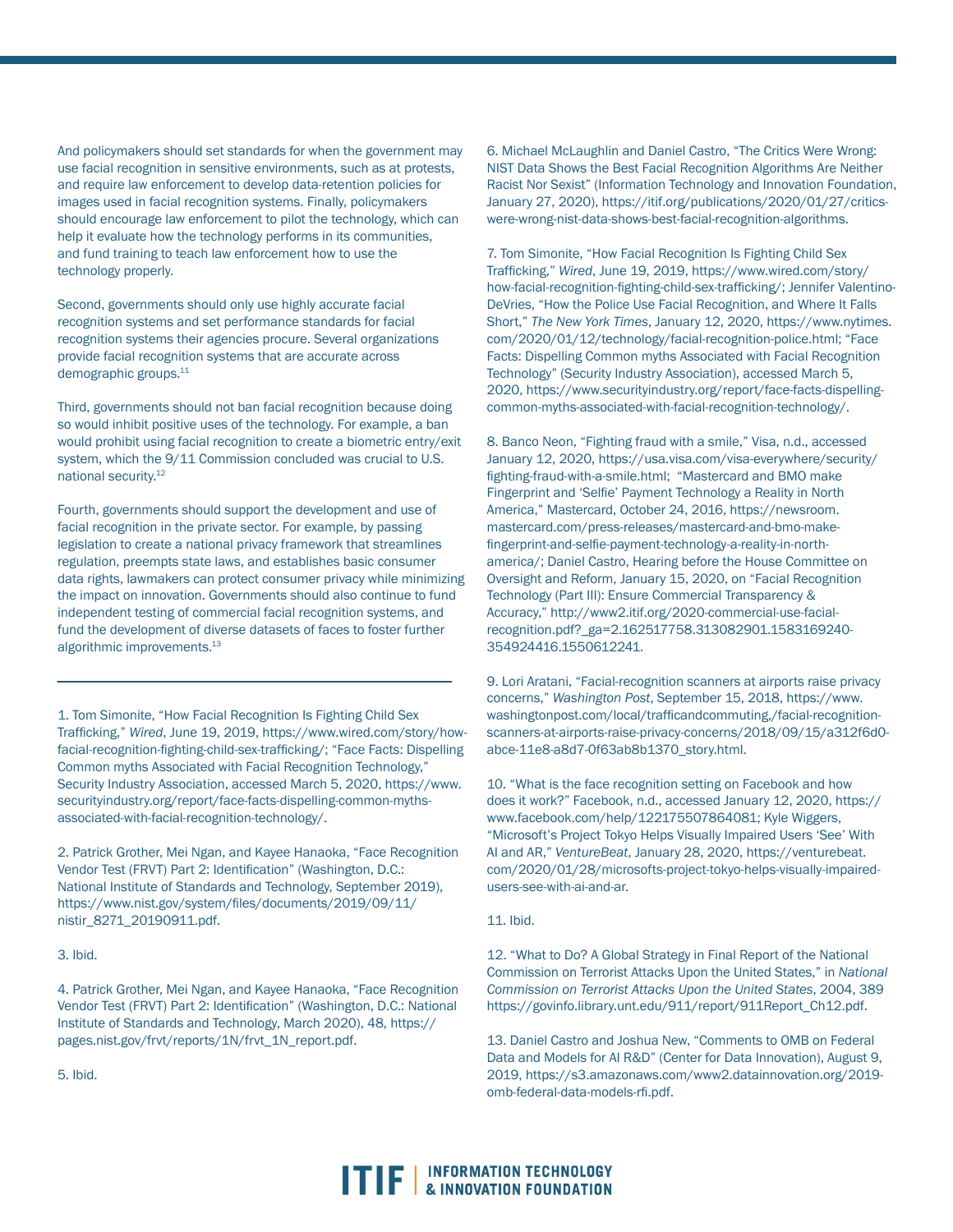And policymakers should set standards for when the government may use facial recognition in sensitive environments, such as at protests, and require law enforcement to develop data-retention policies for images used in facial recognition systems. Finally, policymakers should encourage law enforcement to pilot the technology, which can help it evaluate how the technology performs in its communities, and fund training to teach law enforcement how to use the technology properly.

Second, governments should only use highly accurate facial recognition systems and set performance standards for facial recognition systems their agencies procure. Several organizations provide facial recognition systems that are accurate across demographic groups.11

Third, governments should not ban facial recognition because doing so would inhibit positive uses of the technology. For example, a ban would prohibit using facial recognition to create a biometric entry/exit system, which the 9/11 Commission concluded was crucial to U.S. national security.12

Fourth, governments should support the development and use of facial recognition in the private sector. For example, by passing legislation to create a national privacy framework that streamlines regulation, preempts state laws, and establishes basic consumer data rights, lawmakers can protect consumer privacy while minimizing the impact on innovation. Governments should also continue to fund independent testing of commercial facial recognition systems, and fund the development of diverse datasets of faces to foster further algorithmic improvements.<sup>13</sup>

1. Tom Simonite, "How Facial Recognition Is Fighting Child Sex Trafficking," *Wired*, June 19, 2019, https://www.wired.com/story/howfacial-recognition-fighting-child-sex-trafficking/; "Face Facts: Dispelling Common myths Associated with Facial Recognition Technology," Security Industry Association, accessed March 5, 2020, https://www. securityindustry.org/report/face-facts-dispelling-common-mythsassociated-with-facial-recognition-technology/.

2. Patrick Grother, Mei Ngan, and Kayee Hanaoka, "Face Recognition Vendor Test (FRVT) Part 2: Identification" (Washington, D.C.: National Institute of Standards and Technology, September 2019), https://www.nist.gov/system/files/documents/2019/09/11/ nistir\_8271\_20190911.pdf.

3. Ibid.

4. Patrick Grother, Mei Ngan, and Kayee Hanaoka, "Face Recognition Vendor Test (FRVT) Part 2: Identification" (Washington, D.C.: National Institute of Standards and Technology, March 2020), 48, https:// pages.nist.gov/frvt/reports/1N/frvt\_1N\_report.pdf.

5. Ibid.

6. Michael McLaughlin and Daniel Castro, "The Critics Were Wrong: NIST Data Shows the Best Facial Recognition Algorithms Are Neither Racist Nor Sexist" (Information Technology and Innovation Foundation, January 27, 2020), https://itif.org/publications/2020/01/27/criticswere-wrong-nist-data-shows-best-facial-recognition-algorithms.

7. Tom Simonite, "How Facial Recognition Is Fighting Child Sex Trafficking," *Wired*, June 19, 2019, https://www.wired.com/story/ how-facial-recognition-fighting-child-sex-trafficking/; Jennifer Valentino-DeVries, "How the Police Use Facial Recognition, and Where It Falls Short," *The New York Times*, January 12, 2020, https://www.nytimes. com/2020/01/12/technology/facial-recognition-police.html; "Face Facts: Dispelling Common myths Associated with Facial Recognition Technology" (Security Industry Association), accessed March 5, 2020, https://www.securityindustry.org/report/face-facts-dispellingcommon-myths-associated-with-facial-recognition-technology/.

8. Banco Neon, "Fighting fraud with a smile," Visa, n.d., accessed January 12, 2020, https://usa.visa.com/visa-everywhere/security/ fighting-fraud-with-a-smile.html; "Mastercard and BMO make Fingerprint and 'Selfie' Payment Technology a Reality in North America," Mastercard, October 24, 2016, https://newsroom. mastercard.com/press-releases/mastercard-and-bmo-makefingerprint-and-selfie-payment-technology-a-reality-in-northamerica/; Daniel Castro, Hearing before the House Committee on Oversight and Reform, January 15, 2020, on "Facial Recognition Technology (Part III): Ensure Commercial Transparency & Accuracy," http://www2.itif.org/2020-commercial-use-facialrecognition.pdf?\_ga=2.162517758.313082901.1583169240- 354924416.1550612241.

9. Lori Aratani, "Facial-recognition scanners at airports raise privacy concerns," *Washington Post*, September 15, 2018, https://www. washingtonpost.com/local/trafficandcommuting,/facial-recognitionscanners-at-airports-raise-privacy-concerns/2018/09/15/a312f6d0 abce-11e8-a8d7-0f63ab8b1370\_story.html.

10. "What is the face recognition setting on Facebook and how does it work?" Facebook, n.d., accessed January 12, 2020, https:// www.facebook.com/help/122175507864081; Kyle Wiggers, "Microsoft's Project Tokyo Helps Visually Impaired Users 'See' With AI and AR," *VentureBeat*, January 28, 2020, https://venturebeat. com/2020/01/28/microsofts-project-tokyo-helps-visually-impairedusers-see-with-ai-and-ar.

#### 11. Ibid.

12. "What to Do? A Global Strategy in Final Report of the National Commission on Terrorist Attacks Upon the United States," in *National Commission on Terrorist Attacks Upon the United States*, 2004, 389 https://govinfo.library.unt.edu/911/report/911Report\_Ch12.pdf.

13. Daniel Castro and Joshua New, "Comments to OMB on Federal Data and Models for AI R&D" (Center for Data Innovation), August 9, 2019, https://s3.amazonaws.com/www2.datainnovation.org/2019 omb-federal-data-models-rfi.pdf.